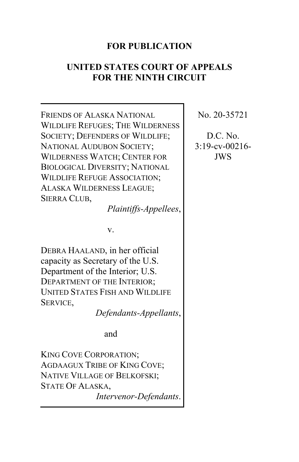# **FOR PUBLICATION**

## **UNITED STATES COURT OF APPEALS FOR THE NINTH CIRCUIT**

FRIENDS OF ALASKA NATIONAL WILDLIFE REFUGES; THE WILDERNESS SOCIETY; DEFENDERS OF WILDLIFE; NATIONAL AUDUBON SOCIETY; WILDERNESS WATCH; CENTER FOR BIOLOGICAL DIVERSITY; NATIONAL WILDLIFE REFUGE ASSOCIATION; ALASKA WILDERNESS LEAGUE; SIERRA CLUB, *Plaintiffs-Appellees*, v. DEBRA HAALAND, in her official capacity as Secretary of the U.S. Department of the Interior; U.S. DEPARTMENT OF THE INTERIOR; UNITED STATES FISH AND WILDLIFE SERVICE, *Defendants-Appellants*, and KING COVE CORPORATION; AGDAAGUX TRIBE OF KING COVE; NATIVE VILLAGE OF BELKOFSKI; STATE OF ALASKA, *Intervenor-Defendants*.

No. 20-35721

D.C. No. 3:19-cv-00216- JWS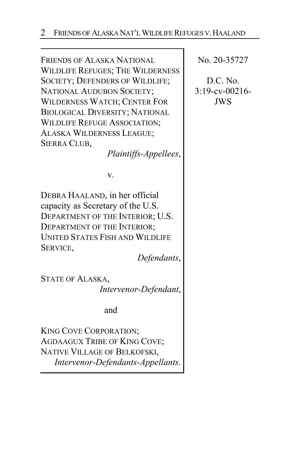FRIENDS OF ALASKA NATIONAL WILDLIFE REFUGES; THE WILDERNESS SOCIETY; DEFENDERS OF WILDLIFE; NATIONAL AUDUBON SOCIETY; WILDERNESS WATCH; CENTER FOR BIOLOGICAL DIVERSITY; NATIONAL WILDLIFE REFUGE ASSOCIATION; ALASKA WILDERNESS LEAGUE; SIERRA CLUB,

*Plaintiffs-Appellees*,

v.

DEBRA HAALAND, in her official capacity as Secretary of the U.S. DEPARTMENT OF THE INTERIOR; U.S. DEPARTMENT OF THE INTERIOR; UNITED STATES FISH AND WILDLIFE SERVICE,

*Defendants*,

STATE OF ALASKA, *Intervenor-Defendant*,

and

KING COVE CORPORATION; AGDAAGUX TRIBE OF KING COVE; NATIVE VILLAGE OF BELKOFSKI, *Intervenor-Defendants-Appellants*. No. 20-35727

D.C. No. 3:19-cv-00216- JWS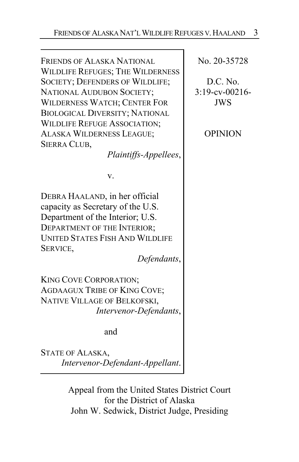FRIENDS OF ALASKA NATIONAL WILDLIFE REFUGES; THE WILDERNESS SOCIETY; DEFENDERS OF WILDLIFE; NATIONAL AUDUBON SOCIETY; WILDERNESS WATCH; CENTER FOR BIOLOGICAL DIVERSITY; NATIONAL WILDLIFE REFUGE ASSOCIATION; ALASKA WILDERNESS LEAGUE; SIERRA CLUB,

*Plaintiffs-Appellees*,

v.

DEBRA HAALAND, in her official capacity as Secretary of the U.S. Department of the Interior; U.S. DEPARTMENT OF THE INTERIOR; UNITED STATES FISH AND WILDLIFE SERVICE,

*Defendants*,

KING COVE CORPORATION; AGDAAGUX TRIBE OF KING COVE; NATIVE VILLAGE OF BELKOFSKI, *Intervenor-Defendants*,

and

STATE OF ALASKA, *Intervenor-Defendant-Appellant*.

> Appeal from the United States District Court for the District of Alaska John W. Sedwick, District Judge, Presiding

No. 20-35728

D.C. No. 3:19-cv-00216- JWS

**OPINION**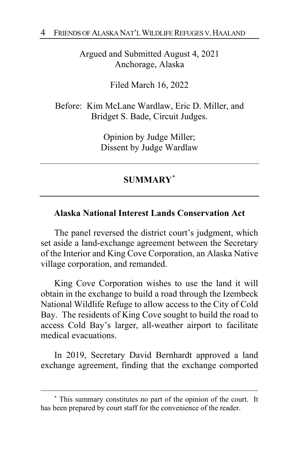Argued and Submitted August 4, 2021 Anchorage, Alaska

Filed March 16, 2022

Before: Kim McLane Wardlaw, Eric D. Miller, and Bridget S. Bade, Circuit Judges.

> Opinion by Judge Miller; Dissent by Judge Wardlaw

# **SUMMARY**[\\*](#page-3-0)

### **Alaska National Interest Lands Conservation Act**

The panel reversed the district court's judgment, which set aside a land-exchange agreement between the Secretary of the Interior and King Cove Corporation, an Alaska Native village corporation, and remanded.

King Cove Corporation wishes to use the land it will obtain in the exchange to build a road through the Izembeck National Wildlife Refuge to allow access to the City of Cold Bay. The residents of King Cove sought to build the road to access Cold Bay's larger, all-weather airport to facilitate medical evacuations.

In 2019, Secretary David Bernhardt approved a land exchange agreement, finding that the exchange comported

<span id="page-3-0"></span><sup>\*</sup> This summary constitutes no part of the opinion of the court. It has been prepared by court staff for the convenience of the reader.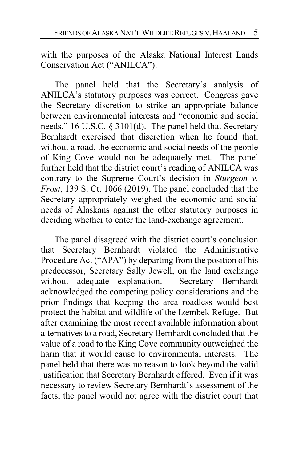with the purposes of the Alaska National Interest Lands Conservation Act ("ANILCA").

The panel held that the Secretary's analysis of ANILCA's statutory purposes was correct. Congress gave the Secretary discretion to strike an appropriate balance between environmental interests and "economic and social needs." 16 U.S.C. § 3101(d). The panel held that Secretary Bernhardt exercised that discretion when he found that, without a road, the economic and social needs of the people of King Cove would not be adequately met. The panel further held that the district court's reading of ANILCA was contrary to the Supreme Court's decision in *Sturgeon v. Frost*, 139 S. Ct. 1066 (2019). The panel concluded that the Secretary appropriately weighed the economic and social needs of Alaskans against the other statutory purposes in deciding whether to enter the land-exchange agreement.

The panel disagreed with the district court's conclusion that Secretary Bernhardt violated the Administrative Procedure Act ("APA") by departing from the position of his predecessor, Secretary Sally Jewell, on the land exchange without adequate explanation. Secretary Bernhardt without adequate explanation. acknowledged the competing policy considerations and the prior findings that keeping the area roadless would best protect the habitat and wildlife of the Izembek Refuge. But after examining the most recent available information about alternatives to a road, Secretary Bernhardt concluded that the value of a road to the King Cove community outweighed the harm that it would cause to environmental interests. The panel held that there was no reason to look beyond the valid justification that Secretary Bernhardt offered. Even if it was necessary to review Secretary Bernhardt's assessment of the facts, the panel would not agree with the district court that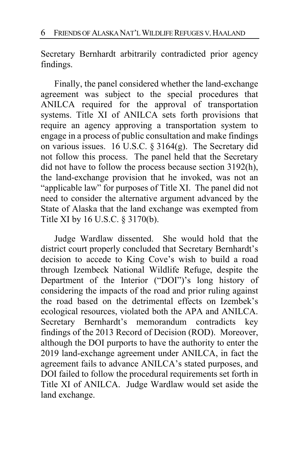Secretary Bernhardt arbitrarily contradicted prior agency findings.

Finally, the panel considered whether the land-exchange agreement was subject to the special procedures that ANILCA required for the approval of transportation systems. Title XI of ANILCA sets forth provisions that require an agency approving a transportation system to engage in a process of public consultation and make findings on various issues. 16 U.S.C. § 3164(g). The Secretary did not follow this process. The panel held that the Secretary did not have to follow the process because section 3192(h), the land-exchange provision that he invoked, was not an "applicable law" for purposes of Title XI. The panel did not need to consider the alternative argument advanced by the State of Alaska that the land exchange was exempted from Title XI by 16 U.S.C. § 3170(b).

Judge Wardlaw dissented. She would hold that the district court properly concluded that Secretary Bernhardt's decision to accede to King Cove's wish to build a road through Izembeck National Wildlife Refuge, despite the Department of the Interior ("DOI")'s long history of considering the impacts of the road and prior ruling against the road based on the detrimental effects on Izembek's ecological resources, violated both the APA and ANILCA. Secretary Bernhardt's memorandum contradicts key findings of the 2013 Record of Decision (ROD). Moreover, although the DOI purports to have the authority to enter the 2019 land-exchange agreement under ANILCA, in fact the agreement fails to advance ANILCA's stated purposes, and DOI failed to follow the procedural requirements set forth in Title XI of ANILCA. Judge Wardlaw would set aside the land exchange.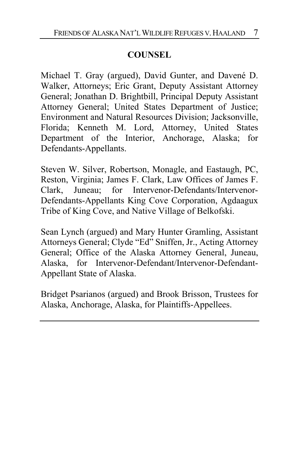# **COUNSEL**

Michael T. Gray (argued), David Gunter, and Davené D. Walker, Attorneys; Eric Grant, Deputy Assistant Attorney General; Jonathan D. Brightbill, Principal Deputy Assistant Attorney General; United States Department of Justice; Environment and Natural Resources Division; Jacksonville, Florida; Kenneth M. Lord, Attorney, United States Department of the Interior, Anchorage, Alaska; for Defendants-Appellants.

Steven W. Silver, Robertson, Monagle, and Eastaugh, PC, Reston, Virginia; James F. Clark, Law Offices of James F. Clark, Juneau; for Intervenor-Defendants/Intervenor-Defendants-Appellants King Cove Corporation, Agdaagux Tribe of King Cove, and Native Village of Belkofski.

Sean Lynch (argued) and Mary Hunter Gramling, Assistant Attorneys General; Clyde "Ed" Sniffen, Jr., Acting Attorney General; Office of the Alaska Attorney General, Juneau, Alaska, for Intervenor-Defendant/Intervenor-Defendant-Appellant State of Alaska.

Bridget Psarianos (argued) and Brook Brisson, Trustees for Alaska, Anchorage, Alaska, for Plaintiffs-Appellees.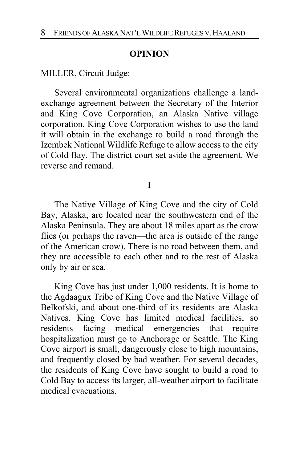#### **OPINION**

MILLER, Circuit Judge:

Several environmental organizations challenge a landexchange agreement between the Secretary of the Interior and King Cove Corporation, an Alaska Native village corporation. King Cove Corporation wishes to use the land it will obtain in the exchange to build a road through the Izembek National Wildlife Refuge to allow access to the city of Cold Bay. The district court set aside the agreement. We reverse and remand.

#### **I**

The Native Village of King Cove and the city of Cold Bay, Alaska, are located near the southwestern end of the Alaska Peninsula. They are about 18 miles apart as the crow flies (or perhaps the raven—the area is outside of the range of the American crow). There is no road between them, and they are accessible to each other and to the rest of Alaska only by air or sea.

King Cove has just under 1,000 residents. It is home to the Agdaagux Tribe of King Cove and the Native Village of Belkofski, and about one-third of its residents are Alaska Natives. King Cove has limited medical facilities, so residents facing medical emergencies that require hospitalization must go to Anchorage or Seattle. The King Cove airport is small, dangerously close to high mountains, and frequently closed by bad weather. For several decades, the residents of King Cove have sought to build a road to Cold Bay to access its larger, all-weather airport to facilitate medical evacuations.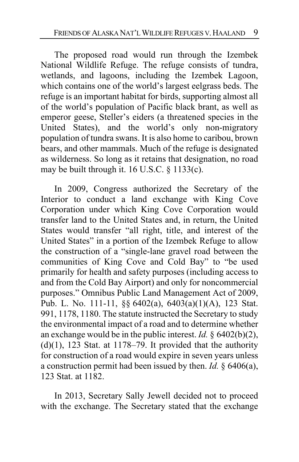The proposed road would run through the Izembek National Wildlife Refuge. The refuge consists of tundra, wetlands, and lagoons, including the Izembek Lagoon, which contains one of the world's largest eelgrass beds. The refuge is an important habitat for birds, supporting almost all of the world's population of Pacific black brant, as well as emperor geese, Steller's eiders (a threatened species in the United States), and the world's only non-migratory population of tundra swans. It is also home to caribou, brown bears, and other mammals. Much of the refuge is designated as wilderness. So long as it retains that designation, no road may be built through it. 16 U.S.C. § 1133(c).

In 2009, Congress authorized the Secretary of the Interior to conduct a land exchange with King Cove Corporation under which King Cove Corporation would transfer land to the United States and, in return, the United States would transfer "all right, title, and interest of the United States" in a portion of the Izembek Refuge to allow the construction of a "single-lane gravel road between the communities of King Cove and Cold Bay" to "be used primarily for health and safety purposes (including access to and from the Cold Bay Airport) and only for noncommercial purposes." Omnibus Public Land Management Act of 2009, Pub. L. No. 111-11, §§ 6402(a), 6403(a)(1)(A), 123 Stat. 991, 1178, 1180. The statute instructed the Secretary to study the environmental impact of a road and to determine whether an exchange would be in the public interest. *Id.* § 6402(b)(2),  $(d)(1)$ , 123 Stat. at 1178–79. It provided that the authority for construction of a road would expire in seven years unless a construction permit had been issued by then. *Id.* § 6406(a), 123 Stat. at 1182.

In 2013, Secretary Sally Jewell decided not to proceed with the exchange. The Secretary stated that the exchange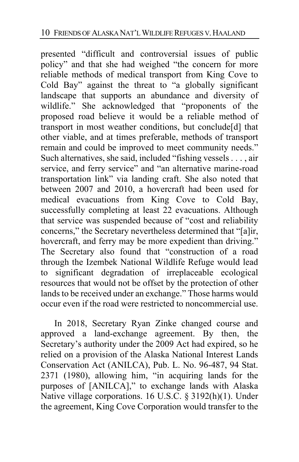presented "difficult and controversial issues of public policy" and that she had weighed "the concern for more reliable methods of medical transport from King Cove to Cold Bay" against the threat to "a globally significant landscape that supports an abundance and diversity of wildlife." She acknowledged that "proponents of the proposed road believe it would be a reliable method of transport in most weather conditions, but conclude[d] that other viable, and at times preferable, methods of transport remain and could be improved to meet community needs." Such alternatives, she said, included "fishing vessels . . . , air service, and ferry service" and "an alternative marine-road transportation link" via landing craft. She also noted that between 2007 and 2010, a hovercraft had been used for medical evacuations from King Cove to Cold Bay, successfully completing at least 22 evacuations. Although that service was suspended because of "cost and reliability concerns," the Secretary nevertheless determined that "[a]ir, hovercraft, and ferry may be more expedient than driving." The Secretary also found that "construction of a road through the Izembek National Wildlife Refuge would lead to significant degradation of irreplaceable ecological resources that would not be offset by the protection of other lands to be received under an exchange." Those harms would occur even if the road were restricted to noncommercial use.

In 2018, Secretary Ryan Zinke changed course and approved a land-exchange agreement. By then, the Secretary's authority under the 2009 Act had expired, so he relied on a provision of the Alaska National Interest Lands Conservation Act (ANILCA), Pub. L. No. 96-487, 94 Stat. 2371 (1980), allowing him, "in acquiring lands for the purposes of [ANILCA]," to exchange lands with Alaska Native village corporations. 16 U.S.C. § 3192(h)(1). Under the agreement, King Cove Corporation would transfer to the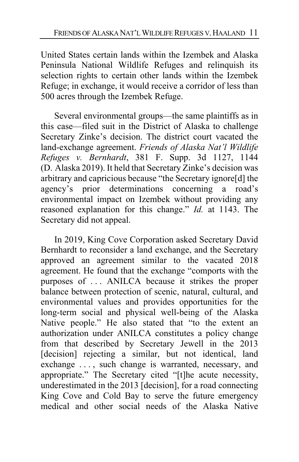United States certain lands within the Izembek and Alaska Peninsula National Wildlife Refuges and relinquish its selection rights to certain other lands within the Izembek Refuge; in exchange, it would receive a corridor of less than 500 acres through the Izembek Refuge.

Several environmental groups—the same plaintiffs as in this case—filed suit in the District of Alaska to challenge Secretary Zinke's decision. The district court vacated the land-exchange agreement. *Friends of Alaska Nat'l Wildlife Refuges v. Bernhardt*, 381 F. Supp. 3d 1127, 1144 (D. Alaska 2019). It held that Secretary Zinke's decision was arbitrary and capricious because "the Secretary ignore[d] the agency's prior determinations concerning a road's environmental impact on Izembek without providing any reasoned explanation for this change." *Id.* at 1143. The Secretary did not appeal.

In 2019, King Cove Corporation asked Secretary David Bernhardt to reconsider a land exchange, and the Secretary approved an agreement similar to the vacated 2018 agreement. He found that the exchange "comports with the purposes of . . . ANILCA because it strikes the proper balance between protection of scenic, natural, cultural, and environmental values and provides opportunities for the long-term social and physical well-being of the Alaska Native people." He also stated that "to the extent an authorization under ANILCA constitutes a policy change from that described by Secretary Jewell in the 2013 [decision] rejecting a similar, but not identical, land exchange . . . , such change is warranted, necessary, and appropriate." The Secretary cited "[t]he acute necessity, underestimated in the 2013 [decision], for a road connecting King Cove and Cold Bay to serve the future emergency medical and other social needs of the Alaska Native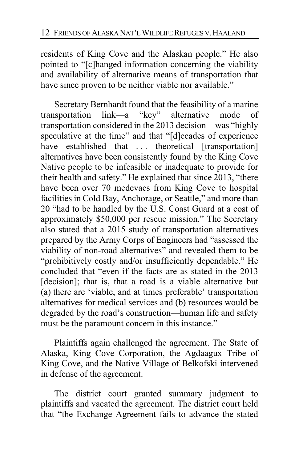residents of King Cove and the Alaskan people." He also pointed to "[c]hanged information concerning the viability and availability of alternative means of transportation that have since proven to be neither viable nor available."

Secretary Bernhardt found that the feasibility of a marine transportation link—a "key" alternative mode of transportation considered in the 2013 decision—was "highly speculative at the time" and that "[d]ecades of experience have established that ... theoretical [transportation] alternatives have been consistently found by the King Cove Native people to be infeasible or inadequate to provide for their health and safety." He explained that since 2013, "there have been over 70 medevacs from King Cove to hospital facilities in Cold Bay, Anchorage, or Seattle," and more than 20 "had to be handled by the U.S. Coast Guard at a cost of approximately \$50,000 per rescue mission." The Secretary also stated that a 2015 study of transportation alternatives prepared by the Army Corps of Engineers had "assessed the viability of non-road alternatives" and revealed them to be "prohibitively costly and/or insufficiently dependable." He concluded that "even if the facts are as stated in the 2013 [decision]; that is, that a road is a viable alternative but (a) there are 'viable, and at times preferable' transportation alternatives for medical services and (b) resources would be degraded by the road's construction—human life and safety must be the paramount concern in this instance."

Plaintiffs again challenged the agreement. The State of Alaska, King Cove Corporation, the Agdaagux Tribe of King Cove, and the Native Village of Belkofski intervened in defense of the agreement.

The district court granted summary judgment to plaintiffs and vacated the agreement. The district court held that "the Exchange Agreement fails to advance the stated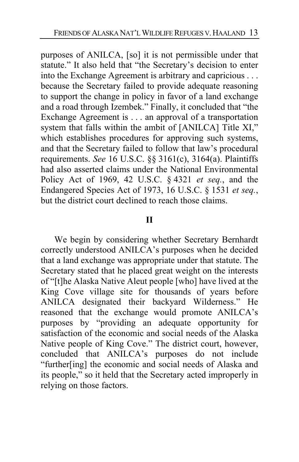purposes of ANILCA, [so] it is not permissible under that statute." It also held that "the Secretary's decision to enter into the Exchange Agreement is arbitrary and capricious . . . because the Secretary failed to provide adequate reasoning to support the change in policy in favor of a land exchange and a road through Izembek." Finally, it concluded that "the Exchange Agreement is . . . an approval of a transportation system that falls within the ambit of [ANILCA] Title XI," which establishes procedures for approving such systems, and that the Secretary failed to follow that law's procedural requirements. *See* 16 U.S.C. §§ 3161(c), 3164(a). Plaintiffs had also asserted claims under the National Environmental Policy Act of 1969, 42 U.S.C. § 4321 *et seq.*, and the Endangered Species Act of 1973, 16 U.S.C. § 1531 *et seq.*, but the district court declined to reach those claims.

### **II**

We begin by considering whether Secretary Bernhardt correctly understood ANILCA's purposes when he decided that a land exchange was appropriate under that statute. The Secretary stated that he placed great weight on the interests of "[t]he Alaska Native Aleut people [who] have lived at the King Cove village site for thousands of years before ANILCA designated their backyard Wilderness." He reasoned that the exchange would promote ANILCA's purposes by "providing an adequate opportunity for satisfaction of the economic and social needs of the Alaska Native people of King Cove." The district court, however, concluded that ANILCA's purposes do not include "further[ing] the economic and social needs of Alaska and its people," so it held that the Secretary acted improperly in relying on those factors.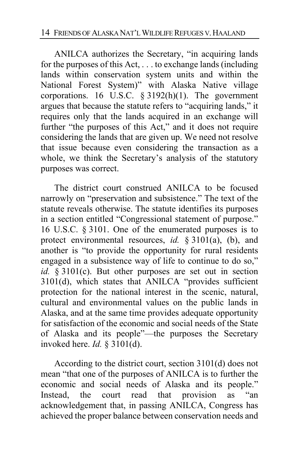ANILCA authorizes the Secretary, "in acquiring lands for the purposes of this Act, . . . to exchange lands (including lands within conservation system units and within the National Forest System)" with Alaska Native village corporations. 16 U.S.C. § 3192(h)(1). The government argues that because the statute refers to "acquiring lands," it requires only that the lands acquired in an exchange will further "the purposes of this Act," and it does not require considering the lands that are given up. We need not resolve that issue because even considering the transaction as a whole, we think the Secretary's analysis of the statutory purposes was correct.

The district court construed ANILCA to be focused narrowly on "preservation and subsistence." The text of the statute reveals otherwise. The statute identifies its purposes in a section entitled "Congressional statement of purpose." 16 U.S.C. § 3101. One of the enumerated purposes is to protect environmental resources, *id.* § 3101(a), (b), and another is "to provide the opportunity for rural residents engaged in a subsistence way of life to continue to do so," *id.* § 3101(c). But other purposes are set out in section 3101(d), which states that ANILCA "provides sufficient protection for the national interest in the scenic, natural, cultural and environmental values on the public lands in Alaska, and at the same time provides adequate opportunity for satisfaction of the economic and social needs of the State of Alaska and its people"—the purposes the Secretary invoked here. *Id.* § 3101(d).

According to the district court, section 3101(d) does not mean "that one of the purposes of ANILCA is to further the economic and social needs of Alaska and its people." Instead, the court read that provision as "an acknowledgement that, in passing ANILCA, Congress has achieved the proper balance between conservation needs and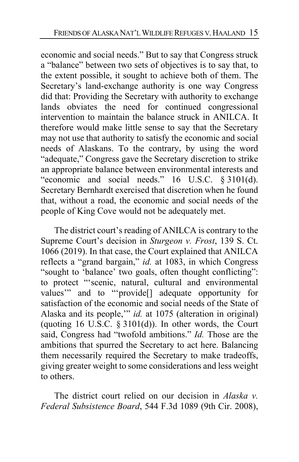economic and social needs." But to say that Congress struck a "balance" between two sets of objectives is to say that, to the extent possible, it sought to achieve both of them. The Secretary's land-exchange authority is one way Congress did that: Providing the Secretary with authority to exchange lands obviates the need for continued congressional intervention to maintain the balance struck in ANILCA. It therefore would make little sense to say that the Secretary may not use that authority to satisfy the economic and social needs of Alaskans. To the contrary, by using the word "adequate," Congress gave the Secretary discretion to strike an appropriate balance between environmental interests and "economic and social needs." 16 U.S.C. § 3101(d). Secretary Bernhardt exercised that discretion when he found that, without a road, the economic and social needs of the people of King Cove would not be adequately met.

<span id="page-14-0"></span>The district court's reading of ANILCA is contrary to the Supreme Court's decision in *Sturgeon v. Frost*, 139 S. Ct. 1066 (2019). In that case, the Court explained that ANILCA reflects a "grand bargain," *id.* at 1083, in which Congress "sought to 'balance' two goals, often thought conflicting": to protect "'scenic, natural, cultural and environmental values'" and to "'provide[] adequate opportunity for satisfaction of the economic and social needs of the State of Alaska and its people,'" *id.* at 1075 (alteration in original) (quoting 16 U.S.C.  $\S 3101(d)$ ). In other words, the Court said, Congress had "twofold ambitions." *Id.* Those are the ambitions that spurred the Secretary to act here. Balancing them necessarily required the Secretary to make tradeoffs, giving greater weight to some considerations and less weight to others.

The district court relied on our decision in *Alaska v. Federal Subsistence Board*, 544 F.3d 1089 (9th Cir. 2008),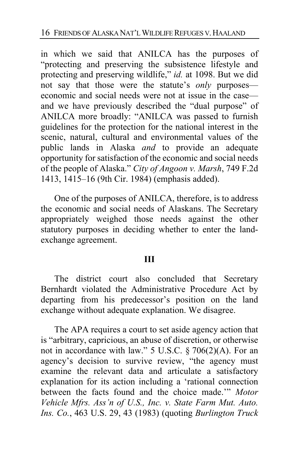in which we said that ANILCA has the purposes of "protecting and preserving the subsistence lifestyle and protecting and preserving wildlife," *id.* at 1098. But we did not say that those were the statute's *only* purposes economic and social needs were not at issue in the case and we have previously described the "dual purpose" of ANILCA more broadly: "ANILCA was passed to furnish guidelines for the protection for the national interest in the scenic, natural, cultural and environmental values of the public lands in Alaska *and* to provide an adequate opportunity for satisfaction of the economic and social needs of the people of Alaska." *City of Angoon v. Marsh*, 749 F.2d 1413, 1415–16 (9th Cir. 1984) (emphasis added).

One of the purposes of ANILCA, therefore, is to address the economic and social needs of Alaskans. The Secretary appropriately weighed those needs against the other statutory purposes in deciding whether to enter the landexchange agreement.

#### **III**

The district court also concluded that Secretary Bernhardt violated the Administrative Procedure Act by departing from his predecessor's position on the land exchange without adequate explanation. We disagree.

The APA requires a court to set aside agency action that is "arbitrary, capricious, an abuse of discretion, or otherwise not in accordance with law." 5 U.S.C.  $\S 706(2)(A)$ . For an agency's decision to survive review, "the agency must examine the relevant data and articulate a satisfactory explanation for its action including a 'rational connection between the facts found and the choice made.'" *Motor Vehicle Mfrs. Ass'n of U.S., Inc. v. State Farm Mut. Auto. Ins. Co.*, 463 U.S. 29, 43 (1983) (quoting *Burlington Truck*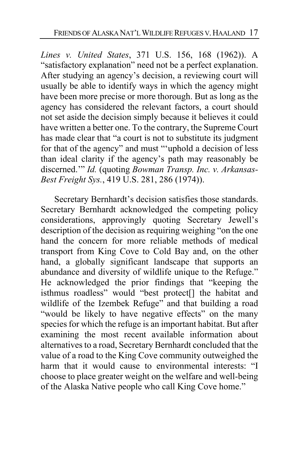*Lines v. United States*, 371 U.S. 156, 168 (1962)). A "satisfactory explanation" need not be a perfect explanation. After studying an agency's decision, a reviewing court will usually be able to identify ways in which the agency might have been more precise or more thorough. But as long as the agency has considered the relevant factors, a court should not set aside the decision simply because it believes it could have written a better one. To the contrary, the Supreme Court has made clear that "a court is not to substitute its judgment for that of the agency" and must "'uphold a decision of less than ideal clarity if the agency's path may reasonably be discerned.'" *Id.* (quoting *Bowman Transp. Inc. v. Arkansas-Best Freight Sys.*, 419 U.S. 281, 286 (1974)).

Secretary Bernhardt's decision satisfies those standards. Secretary Bernhardt acknowledged the competing policy considerations, approvingly quoting Secretary Jewell's description of the decision as requiring weighing "on the one hand the concern for more reliable methods of medical transport from King Cove to Cold Bay and, on the other hand, a globally significant landscape that supports an abundance and diversity of wildlife unique to the Refuge." He acknowledged the prior findings that "keeping the isthmus roadless" would "best protect[] the habitat and wildlife of the Izembek Refuge" and that building a road "would be likely to have negative effects" on the many species for which the refuge is an important habitat. But after examining the most recent available information about alternatives to a road, Secretary Bernhardt concluded that the value of a road to the King Cove community outweighed the harm that it would cause to environmental interests: "I choose to place greater weight on the welfare and well-being of the Alaska Native people who call King Cove home."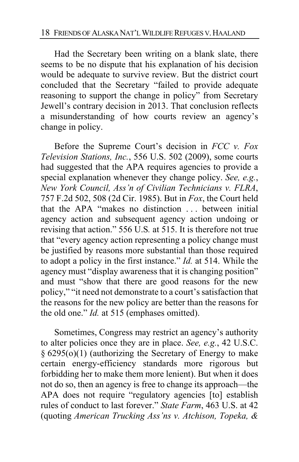Had the Secretary been writing on a blank slate, there seems to be no dispute that his explanation of his decision would be adequate to survive review. But the district court concluded that the Secretary "failed to provide adequate reasoning to support the change in policy" from Secretary Jewell's contrary decision in 2013. That conclusion reflects a misunderstanding of how courts review an agency's change in policy.

Before the Supreme Court's decision in *FCC v. Fox Television Stations, Inc.*, 556 U.S. 502 (2009), some courts had suggested that the APA requires agencies to provide a special explanation whenever they change policy. *See, e.g.*, *New York Council, Ass'n of Civilian Technicians v. FLRA*, 757 F.2d 502, 508 (2d Cir. 1985). But in *Fox*, the Court held that the APA "makes no distinction . . . between initial agency action and subsequent agency action undoing or revising that action." 556 U.S*.* at 515. It is therefore not true that "every agency action representing a policy change must be justified by reasons more substantial than those required to adopt a policy in the first instance." *Id.* at 514. While the agency must "display awareness that it is changing position" and must "show that there are good reasons for the new policy," "it need not demonstrate to a court's satisfaction that the reasons for the new policy are better than the reasons for the old one." *Id.* at 515 (emphases omitted).

Sometimes, Congress may restrict an agency's authority to alter policies once they are in place. *See, e.g.*, 42 U.S.C. § 6295(o)(1) (authorizing the Secretary of Energy to make certain energy-efficiency standards more rigorous but forbidding her to make them more lenient). But when it does not do so, then an agency is free to change its approach—the APA does not require "regulatory agencies [to] establish rules of conduct to last forever." *State Farm*, 463 U.S. at 42 (quoting *American Trucking Ass'ns v. Atchison, Topeka, &*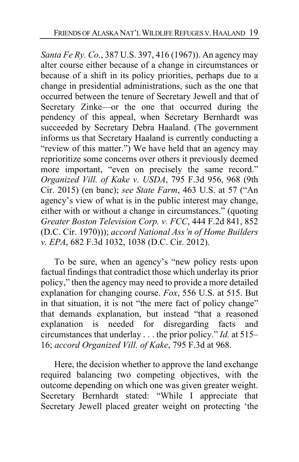<span id="page-18-0"></span>*Santa Fe Ry. Co.*, 387 U.S. 397, 416 (1967)). An agency may alter course either because of a change in circumstances or because of a shift in its policy priorities, perhaps due to a change in presidential administrations, such as the one that occurred between the tenure of Secretary Jewell and that of Secretary Zinke—or the one that occurred during the pendency of this appeal, when Secretary Bernhardt was succeeded by Secretary Debra Haaland. (The government informs us that Secretary Haaland is currently conducting a "review of this matter.") We have held that an agency may reprioritize some concerns over others it previously deemed more important, "even on precisely the same record." *Organized Vill. of Kake v. USDA*, 795 F.3d 956, 968 (9th Cir. 2015) (en banc); *see State Farm*, 463 U.S. at 57 ("An agency's view of what is in the public interest may change, either with or without a change in circumstances." (quoting *Greater Boston Television Corp. v. FCC*, 444 F.2d 841, 852 (D.C. Cir. 1970))); *accord National Ass'n of Home Builders v. EPA*, 682 F.3d 1032, 1038 (D.C. Cir. 2012).

To be sure, when an agency's "new policy rests upon factual findings that contradict those which underlay its prior policy," then the agency may need to provide a more detailed explanation for changing course. *Fox*, 556 U.S. at 515. But in that situation, it is not "the mere fact of policy change" that demands explanation, but instead "that a reasoned explanation is needed for disregarding facts and circumstances that underlay . . . the prior policy." *Id.* at 515– 16; *accord Organized Vill. of Kake*, 795 F.3d at 968.

Here, the decision whether to approve the land exchange required balancing two competing objectives, with the outcome depending on which one was given greater weight. Secretary Bernhardt stated: "While I appreciate that Secretary Jewell placed greater weight on protecting 'the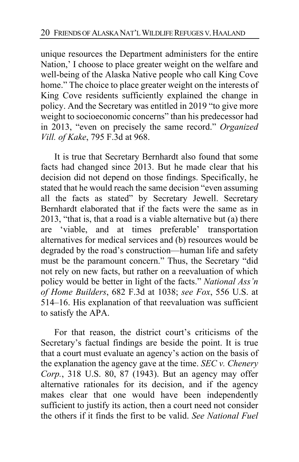unique resources the Department administers for the entire Nation,' I choose to place greater weight on the welfare and well-being of the Alaska Native people who call King Cove home." The choice to place greater weight on the interests of King Cove residents sufficiently explained the change in policy. And the Secretary was entitled in 2019 "to give more weight to socioeconomic concerns" than his predecessor had in 2013, "even on precisely the same record." *Organized Vill. of Kake*, 795 F.3d at 968.

It is true that Secretary Bernhardt also found that some facts had changed since 2013. But he made clear that his decision did not depend on those findings. Specifically, he stated that he would reach the same decision "even assuming all the facts as stated" by Secretary Jewell. Secretary Bernhardt elaborated that if the facts were the same as in 2013, "that is, that a road is a viable alternative but (a) there are 'viable, and at times preferable' transportation alternatives for medical services and (b) resources would be degraded by the road's construction—human life and safety must be the paramount concern." Thus, the Secretary "did not rely on new facts, but rather on a reevaluation of which policy would be better in light of the facts." *National Ass'n of Home Builders*, 682 F.3d at 1038; *see Fox*, 556 U.S. at 514–16. His explanation of that reevaluation was sufficient to satisfy the APA.

<span id="page-19-0"></span>For that reason, the district court's criticisms of the Secretary's factual findings are beside the point. It is true that a court must evaluate an agency's action on the basis of the explanation the agency gave at the time. *SEC v. Chenery Corp.*, 318 U.S. 80, 87 (1943). But an agency may offer alternative rationales for its decision, and if the agency makes clear that one would have been independently sufficient to justify its action, then a court need not consider the others if it finds the first to be valid. *See National Fuel*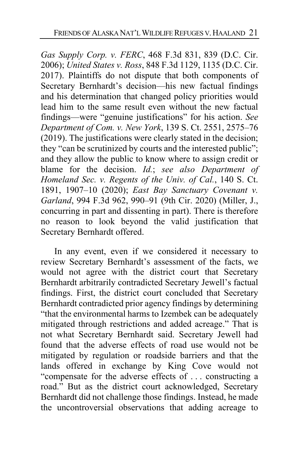<span id="page-20-1"></span>*Gas Supply Corp. v. FERC*, 468 F.3d 831, 839 (D.C. Cir. 2006); *United States v. Ross*, 848 F.3d 1129, 1135 (D.C. Cir. 2017). Plaintiffs do not dispute that both components of Secretary Bernhardt's decision—his new factual findings and his determination that changed policy priorities would lead him to the same result even without the new factual findings—were "genuine justifications" for his action. *See Department of Com. v. New York*, 139 S. Ct. 2551, 2575–76 (2019). The justifications were clearly stated in the decision; they "can be scrutinized by courts and the interested public"; and they allow the public to know where to assign credit or blame for the decision. *Id.*; *see also Department of Homeland Sec. v. Regents of the Univ. of Cal.*, 140 S. Ct. 1891, 1907–10 (2020); *East Bay Sanctuary Covenant v. Garland*, 994 F.3d 962, 990–91 (9th Cir. 2020) (Miller, J., concurring in part and dissenting in part). There is therefore no reason to look beyond the valid justification that Secretary Bernhardt offered.

<span id="page-20-0"></span>In any event, even if we considered it necessary to review Secretary Bernhardt's assessment of the facts, we would not agree with the district court that Secretary Bernhardt arbitrarily contradicted Secretary Jewell's factual findings. First, the district court concluded that Secretary Bernhardt contradicted prior agency findings by determining "that the environmental harms to Izembek can be adequately mitigated through restrictions and added acreage." That is not what Secretary Bernhardt said. Secretary Jewell had found that the adverse effects of road use would not be mitigated by regulation or roadside barriers and that the lands offered in exchange by King Cove would not "compensate for the adverse effects of . . . constructing a road." But as the district court acknowledged, Secretary Bernhardt did not challenge those findings. Instead, he made the uncontroversial observations that adding acreage to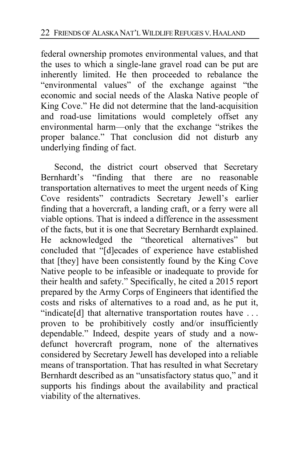federal ownership promotes environmental values, and that the uses to which a single-lane gravel road can be put are inherently limited. He then proceeded to rebalance the "environmental values" of the exchange against "the economic and social needs of the Alaska Native people of King Cove." He did not determine that the land-acquisition and road-use limitations would completely offset any environmental harm—only that the exchange "strikes the proper balance." That conclusion did not disturb any underlying finding of fact.

Second, the district court observed that Secretary Bernhardt's "finding that there are no reasonable transportation alternatives to meet the urgent needs of King Cove residents" contradicts Secretary Jewell's earlier finding that a hovercraft, a landing craft, or a ferry were all viable options. That is indeed a difference in the assessment of the facts, but it is one that Secretary Bernhardt explained. He acknowledged the "theoretical alternatives" but concluded that "[d]ecades of experience have established that [they] have been consistently found by the King Cove Native people to be infeasible or inadequate to provide for their health and safety." Specifically, he cited a 2015 report prepared by the Army Corps of Engineers that identified the costs and risks of alternatives to a road and, as he put it, "indicate[d] that alternative transportation routes have ... proven to be prohibitively costly and/or insufficiently dependable." Indeed, despite years of study and a nowdefunct hovercraft program, none of the alternatives considered by Secretary Jewell has developed into a reliable means of transportation. That has resulted in what Secretary Bernhardt described as an "unsatisfactory status quo," and it supports his findings about the availability and practical viability of the alternatives.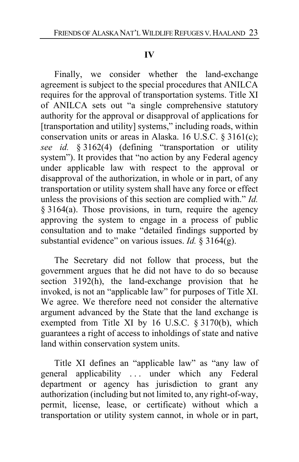#### **IV**

Finally, we consider whether the land-exchange agreement is subject to the special procedures that ANILCA requires for the approval of transportation systems. Title XI of ANILCA sets out "a single comprehensive statutory authority for the approval or disapproval of applications for [transportation and utility] systems," including roads, within conservation units or areas in Alaska. 16 U.S.C. § 3161(c); *see id.* § 3162(4) (defining "transportation or utility system"). It provides that "no action by any Federal agency under applicable law with respect to the approval or disapproval of the authorization, in whole or in part, of any transportation or utility system shall have any force or effect unless the provisions of this section are complied with." *Id.*   $§$  3164(a). Those provisions, in turn, require the agency approving the system to engage in a process of public consultation and to make "detailed findings supported by substantial evidence" on various issues. *Id.* § 3164(g).

<span id="page-22-0"></span>The Secretary did not follow that process, but the government argues that he did not have to do so because section 3192(h), the land-exchange provision that he invoked, is not an "applicable law" for purposes of Title XI. We agree. We therefore need not consider the alternative argument advanced by the State that the land exchange is exempted from Title XI by 16 U.S.C. § 3170(b), which guarantees a right of access to inholdings of state and native land within conservation system units.

Title XI defines an "applicable law" as "any law of general applicability . . . under which any Federal department or agency has jurisdiction to grant any authorization (including but not limited to, any right-of-way, permit, license, lease, or certificate) without which a transportation or utility system cannot, in whole or in part,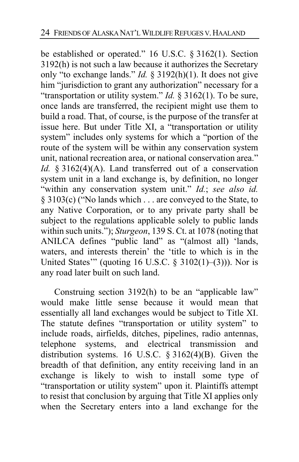<span id="page-23-1"></span>be established or operated." 16 U.S.C. § 3162(1). Section 3192(h) is not such a law because it authorizes the Secretary only "to exchange lands." *Id.* § 3192(h)(1). It does not give him "jurisdiction to grant any authorization" necessary for a "transportation or utility system." *Id.* § 3162(1). To be sure, once lands are transferred, the recipient might use them to build a road. That, of course, is the purpose of the transfer at issue here. But under Title XI, a "transportation or utility system" includes only systems for which a "portion of the route of the system will be within any conservation system unit, national recreation area, or national conservation area." *Id.* § 3162(4)(A). Land transferred out of a conservation system unit in a land exchange is, by definition, no longer "within any conservation system unit." *Id.*; *see also id.*  § 3103(c) ("No lands which . . . are conveyed to the State, to any Native Corporation, or to any private party shall be subject to the regulations applicable solely to public lands within such units."); *Sturgeon*, 139 S. Ct. at 1078 (noting that ANILCA defines "public land" as "(almost all) 'lands, waters, and interests therein' the 'title to which is in the United States'" (quoting 16 U.S.C. § 3102(1)–(3))). Nor is any road later built on such land.

<span id="page-23-0"></span>Construing section 3192(h) to be an "applicable law" would make little sense because it would mean that essentially all land exchanges would be subject to Title XI. The statute defines "transportation or utility system" to include roads, airfields, ditches, pipelines, radio antennas, telephone systems, and electrical transmission and distribution systems. 16 U.S.C. § 3162(4)(B). Given the breadth of that definition, any entity receiving land in an exchange is likely to wish to install some type of "transportation or utility system" upon it. Plaintiffs attempt to resist that conclusion by arguing that Title XI applies only when the Secretary enters into a land exchange for the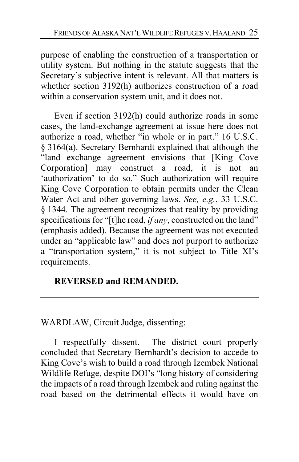purpose of enabling the construction of a transportation or utility system. But nothing in the statute suggests that the Secretary's subjective intent is relevant. All that matters is whether section 3192(h) authorizes construction of a road within a conservation system unit, and it does not.

<span id="page-24-2"></span><span id="page-24-1"></span>Even if section 3192(h) could authorize roads in some cases, the land-exchange agreement at issue here does not authorize a road, whether "in whole or in part." 16 U.S.C. § 3164(a). Secretary Bernhardt explained that although the "land exchange agreement envisions that [King Cove Corporation] may construct a road, it is not an 'authorization' to do so." Such authorization will require King Cove Corporation to obtain permits under the Clean Water Act and other governing laws. *See, e.g.*, 33 U.S.C. § 1344. The agreement recognizes that reality by providing specifications for "[t]he road, *if any*, constructed on the land" (emphasis added). Because the agreement was not executed under an "applicable law" and does not purport to authorize a "transportation system," it is not subject to Title XI's requirements.

# <span id="page-24-0"></span>**REVERSED and REMANDED.**

WARDLAW, Circuit Judge, dissenting:

I respectfully dissent. The district court properly concluded that Secretary Bernhardt's decision to accede to King Cove's wish to build a road through Izembek National Wildlife Refuge, despite DOI's "long history of considering the impacts of a road through Izembek and ruling against the road based on the detrimental effects it would have on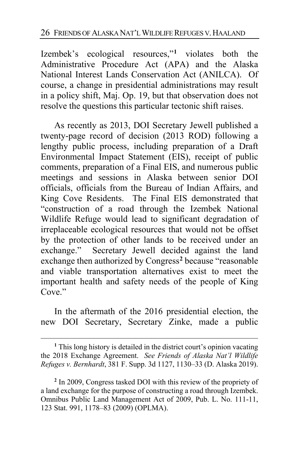Izembek's ecological resources,"**[1](#page-25-0)** violates both the Administrative Procedure Act (APA) and the Alaska National Interest Lands Conservation Act (ANILCA). Of course, a change in presidential administrations may result in a policy shift, Maj. Op. [19,](#page-18-0) but that observation does not resolve the questions this particular tectonic shift raises.

As recently as 2013, DOI Secretary Jewell published a twenty-page record of decision (2013 ROD) following a lengthy public process, including preparation of a Draft Environmental Impact Statement (EIS), receipt of public comments, preparation of a Final EIS, and numerous public meetings and sessions in Alaska between senior DOI officials, officials from the Bureau of Indian Affairs, and King Cove Residents. The Final EIS demonstrated that "construction of a road through the Izembek National Wildlife Refuge would lead to significant degradation of irreplaceable ecological resources that would not be offset by the protection of other lands to be received under an exchange." Secretary Jewell decided against the land exchange then authorized by Congress**[2](#page-25-1)** because "reasonable and viable transportation alternatives exist to meet the important health and safety needs of the people of King Cove."

In the aftermath of the 2016 presidential election, the new DOI Secretary, Secretary Zinke, made a public

<span id="page-25-0"></span>**<sup>1</sup>** This long history is detailed in the district court's opinion vacating the 2018 Exchange Agreement. *See Friends of Alaska Nat'l Wildlife Refuges v. Bernhardt*, 381 F. Supp. 3d 1127, 1130–33 (D. Alaska 2019).

<span id="page-25-1"></span>**<sup>2</sup>** In 2009, Congress tasked DOI with this review of the propriety of a land exchange for the purpose of constructing a road through Izembek. Omnibus Public Land Management Act of 2009, Pub. L. No. 111-11, 123 Stat. 991, 1178–83 (2009) (OPLMA).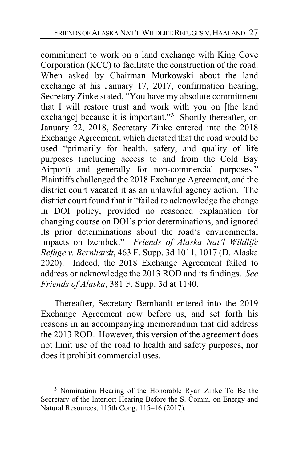commitment to work on a land exchange with King Cove Corporation (KCC) to facilitate the construction of the road. When asked by Chairman Murkowski about the land exchange at his January 17, 2017, confirmation hearing, Secretary Zinke stated, "You have my absolute commitment that I will restore trust and work with you on [the land exchange] because it is important."**[3](#page-26-0)** Shortly thereafter, on January 22, 2018, Secretary Zinke entered into the 2018 Exchange Agreement, which dictated that the road would be used "primarily for health, safety, and quality of life purposes (including access to and from the Cold Bay Airport) and generally for non-commercial purposes." Plaintiffs challenged the 2018 Exchange Agreement, and the district court vacated it as an unlawful agency action. The district court found that it "failed to acknowledge the change in DOI policy, provided no reasoned explanation for changing course on DOI's prior determinations, and ignored its prior determinations about the road's environmental impacts on Izembek." *Friends of Alaska Nat'l Wildlife Refuge v. Bernhardt*, 463 F. Supp. 3d 1011, 1017 (D. Alaska 2020). Indeed, the 2018 Exchange Agreement failed to address or acknowledge the 2013 ROD and its findings. *See Friends of Alaska*, 381 F. Supp. 3d at 1140.

Thereafter, Secretary Bernhardt entered into the 2019 Exchange Agreement now before us, and set forth his reasons in an accompanying memorandum that did address the 2013 ROD. However, this version of the agreement does not limit use of the road to health and safety purposes, nor does it prohibit commercial uses.

<span id="page-26-0"></span>**<sup>3</sup>** Nomination Hearing of the Honorable Ryan Zinke To Be the Secretary of the Interior: Hearing Before the S. Comm. on Energy and Natural Resources, 115th Cong. 115–16 (2017).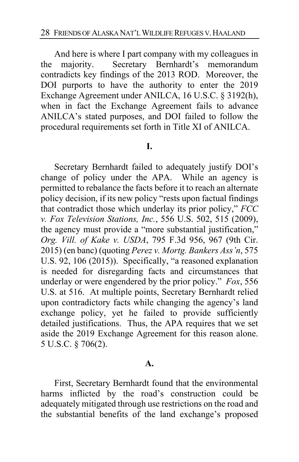And here is where I part company with my colleagues in the majority. Secretary Bernhardt's memorandum contradicts key findings of the 2013 ROD. Moreover, the DOI purports to have the authority to enter the 2019 Exchange Agreement under ANILCA, 16 U.S.C. § 3192(h), when in fact the Exchange Agreement fails to advance ANILCA's stated purposes, and DOI failed to follow the procedural requirements set forth in Title XI of ANILCA.

#### **I.**

Secretary Bernhardt failed to adequately justify DOI's change of policy under the APA. While an agency is permitted to rebalance the facts before it to reach an alternate policy decision, if its new policy "rests upon factual findings that contradict those which underlay its prior policy," *FCC v. Fox Television Stations, Inc.*, 556 U.S. 502, 515 (2009), the agency must provide a "more substantial justification," *Org. Vill. of Kake v. USDA*, 795 F.3d 956, 967 (9th Cir. 2015) (en banc) (quoting *Perez v. Mortg. Bankers Ass'n*, 575 U.S. 92, 106 (2015)). Specifically, "a reasoned explanation is needed for disregarding facts and circumstances that underlay or were engendered by the prior policy." *Fox*, 556 U.S. at 516. At multiple points, Secretary Bernhardt relied upon contradictory facts while changing the agency's land exchange policy, yet he failed to provide sufficiently detailed justifications. Thus, the APA requires that we set aside the 2019 Exchange Agreement for this reason alone. 5 U.S.C. § 706(2).

#### **A.**

First, Secretary Bernhardt found that the environmental harms inflicted by the road's construction could be adequately mitigated through use restrictions on the road and the substantial benefits of the land exchange's proposed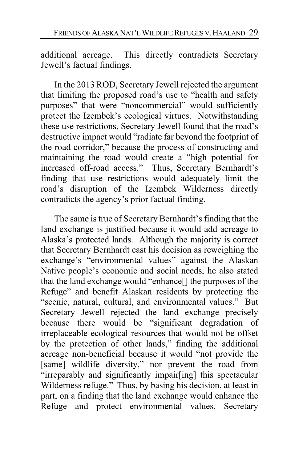additional acreage. This directly contradicts Secretary Jewell's factual findings.

In the 2013 ROD, Secretary Jewell rejected the argument that limiting the proposed road's use to "health and safety purposes" that were "noncommercial" would sufficiently protect the Izembek's ecological virtues. Notwithstanding these use restrictions, Secretary Jewell found that the road's destructive impact would "radiate far beyond the footprint of the road corridor," because the process of constructing and maintaining the road would create a "high potential for increased off-road access." Thus, Secretary Bernhardt's finding that use restrictions would adequately limit the road's disruption of the Izembek Wilderness directly contradicts the agency's prior factual finding.

The same is true of Secretary Bernhardt's finding that the land exchange is justified because it would add acreage to Alaska's protected lands. Although the majority is correct that Secretary Bernhardt cast his decision as reweighing the exchange's "environmental values" against the Alaskan Native people's economic and social needs, he also stated that the land exchange would "enhance[] the purposes of the Refuge" and benefit Alaskan residents by protecting the "scenic, natural, cultural, and environmental values." But Secretary Jewell rejected the land exchange precisely because there would be "significant degradation of irreplaceable ecological resources that would not be offset by the protection of other lands," finding the additional acreage non-beneficial because it would "not provide the [same] wildlife diversity," nor prevent the road from "irreparably and significantly impair[ing] this spectacular Wilderness refuge." Thus, by basing his decision, at least in part, on a finding that the land exchange would enhance the Refuge and protect environmental values, Secretary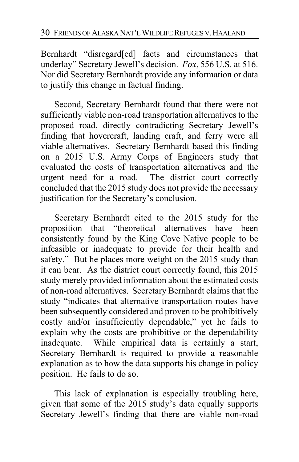Bernhardt "disregard[ed] facts and circumstances that underlay" Secretary Jewell's decision. *Fox*, 556 U.S. at 516. Nor did Secretary Bernhardt provide any information or data to justify this change in factual finding.

Second, Secretary Bernhardt found that there were not sufficiently viable non-road transportation alternatives to the proposed road, directly contradicting Secretary Jewell's finding that hovercraft, landing craft, and ferry were all viable alternatives. Secretary Bernhardt based this finding on a 2015 U.S. Army Corps of Engineers study that evaluated the costs of transportation alternatives and the urgent need for a road. The district court correctly concluded that the 2015 study does not provide the necessary justification for the Secretary's conclusion.

Secretary Bernhardt cited to the 2015 study for the proposition that "theoretical alternatives have been consistently found by the King Cove Native people to be infeasible or inadequate to provide for their health and safety." But he places more weight on the 2015 study than it can bear. As the district court correctly found, this 2015 study merely provided information about the estimated costs of non-road alternatives. Secretary Bernhardt claims that the study "indicates that alternative transportation routes have been subsequently considered and proven to be prohibitively costly and/or insufficiently dependable," yet he fails to explain why the costs are prohibitive or the dependability inadequate. While empirical data is certainly a start, Secretary Bernhardt is required to provide a reasonable explanation as to how the data supports his change in policy position. He fails to do so.

This lack of explanation is especially troubling here, given that some of the 2015 study's data equally supports Secretary Jewell's finding that there are viable non-road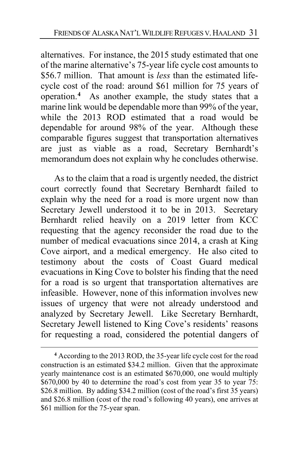alternatives. For instance, the 2015 study estimated that one of the marine alternative's 75-year life cycle cost amounts to \$56.7 million. That amount is *less* than the estimated lifecycle cost of the road: around \$61 million for 75 years of operation.**[4](#page-30-0)** As another example, the study states that a marine link would be dependable more than 99% of the year, while the 2013 ROD estimated that a road would be dependable for around 98% of the year. Although these comparable figures suggest that transportation alternatives are just as viable as a road, Secretary Bernhardt's memorandum does not explain why he concludes otherwise.

As to the claim that a road is urgently needed, the district court correctly found that Secretary Bernhardt failed to explain why the need for a road is more urgent now than Secretary Jewell understood it to be in 2013. Secretary Bernhardt relied heavily on a 2019 letter from KCC requesting that the agency reconsider the road due to the number of medical evacuations since 2014, a crash at King Cove airport, and a medical emergency. He also cited to testimony about the costs of Coast Guard medical evacuations in King Cove to bolster his finding that the need for a road is so urgent that transportation alternatives are infeasible. However, none of this information involves new issues of urgency that were not already understood and analyzed by Secretary Jewell. Like Secretary Bernhardt, Secretary Jewell listened to King Cove's residents' reasons for requesting a road, considered the potential dangers of

<span id="page-30-0"></span>**<sup>4</sup>** According to the 2013 ROD, the 35-year life cycle cost for the road construction is an estimated \$34.2 million. Given that the approximate yearly maintenance cost is an estimated \$670,000, one would multiply  $$670,000$  by 40 to determine the road's cost from year 35 to year  $75$ . \$26.8 million. By adding \$34.2 million (cost of the road's first 35 years) and \$26.8 million (cost of the road's following 40 years), one arrives at \$61 million for the 75-year span.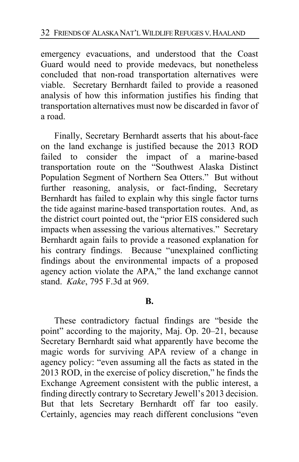emergency evacuations, and understood that the Coast Guard would need to provide medevacs, but nonetheless concluded that non-road transportation alternatives were viable. Secretary Bernhardt failed to provide a reasoned analysis of how this information justifies his finding that transportation alternatives must now be discarded in favor of a road.

Finally, Secretary Bernhardt asserts that his about-face on the land exchange is justified because the 2013 ROD failed to consider the impact of a marine-based transportation route on the "Southwest Alaska Distinct Population Segment of Northern Sea Otters." But without further reasoning, analysis, or fact-finding, Secretary Bernhardt has failed to explain why this single factor turns the tide against marine-based transportation routes. And, as the district court pointed out, the "prior EIS considered such impacts when assessing the various alternatives." Secretary Bernhardt again fails to provide a reasoned explanation for his contrary findings. Because "unexplained conflicting findings about the environmental impacts of a proposed agency action violate the APA," the land exchange cannot stand. *Kake*, 795 F.3d at 969.

#### **B.**

These contradictory factual findings are "beside the point" according to the majority, Maj. Op. [20](#page-19-0)[–21,](#page-20-0) because Secretary Bernhardt said what apparently have become the magic words for surviving APA review of a change in agency policy: "even assuming all the facts as stated in the 2013 ROD, in the exercise of policy discretion," he finds the Exchange Agreement consistent with the public interest, a finding directly contrary to Secretary Jewell's 2013 decision. But that lets Secretary Bernhardt off far too easily. Certainly, agencies may reach different conclusions "even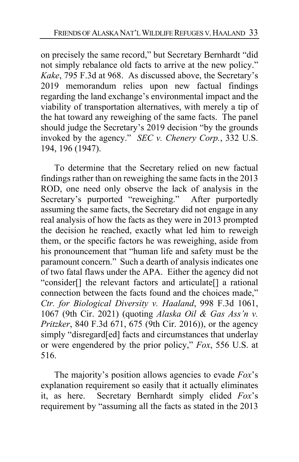on precisely the same record," but Secretary Bernhardt "did not simply rebalance old facts to arrive at the new policy." *Kake*, 795 F.3d at 968. As discussed above, the Secretary's 2019 memorandum relies upon new factual findings regarding the land exchange's environmental impact and the viability of transportation alternatives, with merely a tip of the hat toward any reweighing of the same facts. The panel should judge the Secretary's 2019 decision "by the grounds invoked by the agency." *SEC v. Chenery Corp.*, 332 U.S. 194, 196 (1947).

To determine that the Secretary relied on new factual findings rather than on reweighing the same facts in the 2013 ROD, one need only observe the lack of analysis in the Secretary's purported "reweighing." After purportedly assuming the same facts, the Secretary did not engage in any real analysis of how the facts as they were in 2013 prompted the decision he reached, exactly what led him to reweigh them, or the specific factors he was reweighing, aside from his pronouncement that "human life and safety must be the paramount concern." Such a dearth of analysis indicates one of two fatal flaws under the APA. Either the agency did not "consider[] the relevant factors and articulate[] a rational connection between the facts found and the choices made," *Ctr. for Biological Diversity v. Haaland*, 998 F.3d 1061, 1067 (9th Cir. 2021) (quoting *Alaska Oil & Gas Ass'n v. Pritzker*, 840 F.3d 671, 675 (9th Cir. 2016)), or the agency simply "disregard[ed] facts and circumstances that underlay or were engendered by the prior policy," *Fox*, 556 U.S. at 516.

The majority's position allows agencies to evade *Fox*'s explanation requirement so easily that it actually eliminates it, as here. Secretary Bernhardt simply elided *Fox*'s requirement by "assuming all the facts as stated in the 2013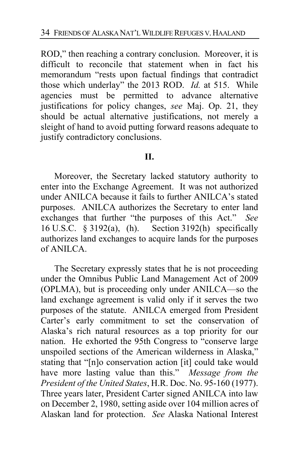ROD," then reaching a contrary conclusion. Moreover, it is difficult to reconcile that statement when in fact his memorandum "rests upon factual findings that contradict those which underlay" the 2013 ROD. *Id.* at 515. While agencies must be permitted to advance alternative justifications for policy changes, *see* Maj. Op. [21,](#page-20-1) they should be actual alternative justifications, not merely a sleight of hand to avoid putting forward reasons adequate to justify contradictory conclusions.

#### **II.**

Moreover, the Secretary lacked statutory authority to enter into the Exchange Agreement. It was not authorized under ANILCA because it fails to further ANILCA's stated purposes. ANILCA authorizes the Secretary to enter land exchanges that further "the purposes of this Act." *See*  16 U.S.C. § 3192(a), (h). Section 3192(h) specifically authorizes land exchanges to acquire lands for the purposes of ANILCA.

The Secretary expressly states that he is not proceeding under the Omnibus Public Land Management Act of 2009 (OPLMA), but is proceeding only under ANILCA—so the land exchange agreement is valid only if it serves the two purposes of the statute. ANILCA emerged from President Carter's early commitment to set the conservation of Alaska's rich natural resources as a top priority for our nation. He exhorted the 95th Congress to "conserve large unspoiled sections of the American wilderness in Alaska," stating that "[n]o conservation action [it] could take would have more lasting value than this." *Message from the President of the United States*, H.R. Doc. No. 95-160 (1977). Three years later, President Carter signed ANILCA into law on December 2, 1980, setting aside over 104 million acres of Alaskan land for protection. *See* Alaska National Interest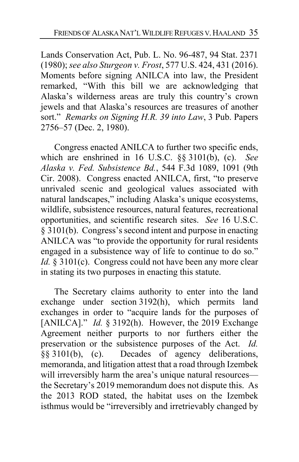Lands Conservation Act, Pub. L. No. 96-487, 94 Stat. 2371 (1980); *see also Sturgeon v. Frost*, 577 U.S. 424, 431 (2016). Moments before signing ANILCA into law, the President remarked, "With this bill we are acknowledging that Alaska's wilderness areas are truly this country's crown jewels and that Alaska's resources are treasures of another sort." *Remarks on Signing H.R. 39 into Law*, 3 Pub. Papers 2756–57 (Dec. 2, 1980).

Congress enacted ANILCA to further two specific ends, which are enshrined in 16 U.S.C. §§ 3101(b), (c). *See Alaska v. Fed. Subsistence Bd.*, 544 F.3d 1089, 1091 (9th Cir. 2008). Congress enacted ANILCA, first, "to preserve unrivaled scenic and geological values associated with natural landscapes," including Alaska's unique ecosystems, wildlife, subsistence resources, natural features, recreational opportunities, and scientific research sites. *See* 16 U.S.C. § 3101(b). Congress's second intent and purpose in enacting ANILCA was "to provide the opportunity for rural residents engaged in a subsistence way of life to continue to do so." *Id.* § 3101(c). Congress could not have been any more clear in stating its two purposes in enacting this statute.

The Secretary claims authority to enter into the land exchange under section 3192(h), which permits land exchanges in order to "acquire lands for the purposes of [ANILCA]." *Id.* § 3192(h). However, the 2019 Exchange Agreement neither purports to nor furthers either the preservation or the subsistence purposes of the Act. *Id.*  §§ 3101(b), (c). Decades of agency deliberations, memoranda, and litigation attest that a road through Izembek will irreversibly harm the area's unique natural resources the Secretary's 2019 memorandum does not dispute this. As the 2013 ROD stated, the habitat uses on the Izembek isthmus would be "irreversibly and irretrievably changed by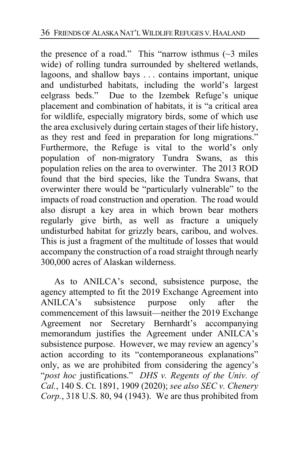the presence of a road." This "narrow isthmus  $(\sim 3$  miles wide) of rolling tundra surrounded by sheltered wetlands, lagoons, and shallow bays . . . contains important, unique and undisturbed habitats, including the world's largest eelgrass beds." Due to the Izembek Refuge's unique placement and combination of habitats, it is "a critical area for wildlife, especially migratory birds, some of which use the area exclusively during certain stages of their life history, as they rest and feed in preparation for long migrations." Furthermore, the Refuge is vital to the world's only population of non-migratory Tundra Swans, as this population relies on the area to overwinter. The 2013 ROD found that the bird species, like the Tundra Swans, that overwinter there would be "particularly vulnerable" to the impacts of road construction and operation. The road would also disrupt a key area in which brown bear mothers regularly give birth, as well as fracture a uniquely undisturbed habitat for grizzly bears, caribou, and wolves. This is just a fragment of the multitude of losses that would accompany the construction of a road straight through nearly 300,000 acres of Alaskan wilderness.

As to ANILCA's second, subsistence purpose, the agency attempted to fit the 2019 Exchange Agreement into ANILCA's subsistence purpose only after the commencement of this lawsuit—neither the 2019 Exchange Agreement nor Secretary Bernhardt's accompanying memorandum justifies the Agreement under ANILCA's subsistence purpose. However, we may review an agency's action according to its "contemporaneous explanations" only, as we are prohibited from considering the agency's "*post hoc* justifications." *DHS v. Regents of the Univ. of Cal.*, 140 S. Ct. 1891, 1909 (2020); *see also SEC v. Chenery Corp.*, 318 U.S. 80, 94 (1943). We are thus prohibited from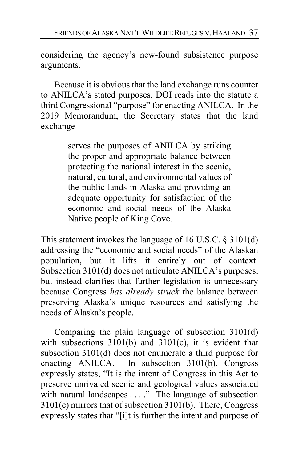considering the agency's new-found subsistence purpose arguments.

Because it is obvious that the land exchange runs counter to ANILCA's stated purposes, DOI reads into the statute a third Congressional "purpose" for enacting ANILCA. In the 2019 Memorandum, the Secretary states that the land exchange

> serves the purposes of ANILCA by striking the proper and appropriate balance between protecting the national interest in the scenic, natural, cultural, and environmental values of the public lands in Alaska and providing an adequate opportunity for satisfaction of the economic and social needs of the Alaska Native people of King Cove.

This statement invokes the language of 16 U.S.C. § 3101(d) addressing the "economic and social needs" of the Alaskan population, but it lifts it entirely out of context. Subsection 3101(d) does not articulate ANILCA's purposes, but instead clarifies that further legislation is unnecessary because Congress *has already struck* the balance between preserving Alaska's unique resources and satisfying the needs of Alaska's people.

Comparing the plain language of subsection 3101(d) with subsections 3101(b) and 3101(c), it is evident that subsection 3101(d) does not enumerate a third purpose for enacting ANILCA. In subsection 3101(b), Congress expressly states, "It is the intent of Congress in this Act to preserve unrivaled scenic and geological values associated with natural landscapes . . . ." The language of subsection 3101(c) mirrors that of subsection 3101(b). There, Congress expressly states that "[i]t is further the intent and purpose of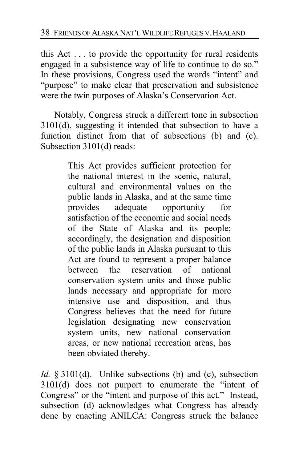this Act . . . to provide the opportunity for rural residents engaged in a subsistence way of life to continue to do so." In these provisions, Congress used the words "intent" and "purpose" to make clear that preservation and subsistence were the twin purposes of Alaska's Conservation Act.

Notably, Congress struck a different tone in subsection 3101(d), suggesting it intended that subsection to have a function distinct from that of subsections (b) and (c). Subsection 3101(d) reads:

> This Act provides sufficient protection for the national interest in the scenic, natural, cultural and environmental values on the public lands in Alaska, and at the same time provides adequate opportunity for satisfaction of the economic and social needs of the State of Alaska and its people; accordingly, the designation and disposition of the public lands in Alaska pursuant to this Act are found to represent a proper balance between the reservation of national conservation system units and those public lands necessary and appropriate for more intensive use and disposition, and thus Congress believes that the need for future legislation designating new conservation system units, new national conservation areas, or new national recreation areas, has been obviated thereby.

*Id.* § 3101(d). Unlike subsections (b) and (c), subsection 3101(d) does not purport to enumerate the "intent of Congress" or the "intent and purpose of this act." Instead, subsection (d) acknowledges what Congress has already done by enacting ANILCA: Congress struck the balance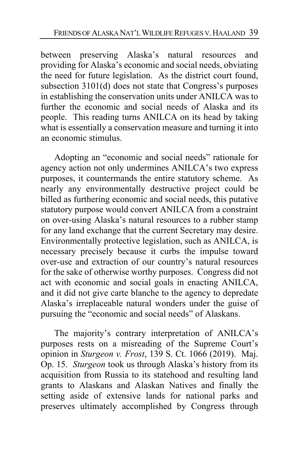between preserving Alaska's natural resources and providing for Alaska's economic and social needs, obviating the need for future legislation. As the district court found, subsection 3101(d) does not state that Congress's purposes in establishing the conservation units under ANILCA was to further the economic and social needs of Alaska and its people. This reading turns ANILCA on its head by taking what is essentially a conservation measure and turning it into an economic stimulus.

Adopting an "economic and social needs" rationale for agency action not only undermines ANILCA's two express purposes, it countermands the entire statutory scheme. As nearly any environmentally destructive project could be billed as furthering economic and social needs, this putative statutory purpose would convert ANILCA from a constraint on over-using Alaska's natural resources to a rubber stamp for any land exchange that the current Secretary may desire. Environmentally protective legislation, such as ANILCA, is necessary precisely because it curbs the impulse toward over-use and extraction of our country's natural resources for the sake of otherwise worthy purposes. Congress did not act with economic and social goals in enacting ANILCA, and it did not give carte blanche to the agency to depredate Alaska's irreplaceable natural wonders under the guise of pursuing the "economic and social needs" of Alaskans.

The majority's contrary interpretation of ANILCA's purposes rests on a misreading of the Supreme Court's opinion in *Sturgeon v. Frost*, 139 S. Ct. 1066 (2019). Maj. Op. [15.](#page-14-0) *Sturgeon* took us through Alaska's history from its acquisition from Russia to its statehood and resulting land grants to Alaskans and Alaskan Natives and finally the setting aside of extensive lands for national parks and preserves ultimately accomplished by Congress through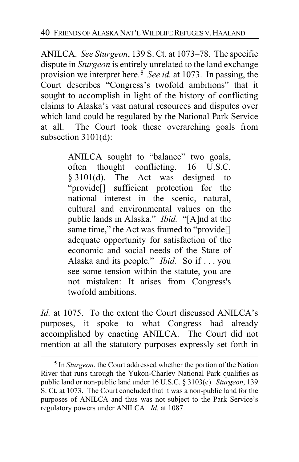ANILCA. *See Sturgeon*, 139 S. Ct. at 1073–78. The specific dispute in *Sturgeon* is entirely unrelated to the land exchange provision we interpret here.**[5](#page-39-0)** *See id.* at 1073. In passing, the Court describes "Congress's twofold ambitions" that it sought to accomplish in light of the history of conflicting claims to Alaska's vast natural resources and disputes over which land could be regulated by the National Park Service at all. The Court took these overarching goals from subsection 3101(d):

> ANILCA sought to "balance" two goals, often thought conflicting. 16 U.S.C. § 3101(d). The Act was designed to "provide[] sufficient protection for the national interest in the scenic, natural, cultural and environmental values on the public lands in Alaska." *Ibid.* "[A]nd at the same time," the Act was framed to "provide[] adequate opportunity for satisfaction of the economic and social needs of the State of Alaska and its people." *Ibid.* So if . . . you see some tension within the statute, you are not mistaken: It arises from Congress's twofold ambitions.

*Id.* at 1075. To the extent the Court discussed ANILCA's purposes, it spoke to what Congress had already accomplished by enacting ANILCA. The Court did not mention at all the statutory purposes expressly set forth in

<span id="page-39-0"></span>**<sup>5</sup>** In *Sturgeon*, the Court addressed whether the portion of the Nation River that runs through the Yukon-Charley National Park qualifies as public land or non-public land under 16 U.S.C. § 3103(c). *Sturgeon*, 139 S. Ct. at 1073. The Court concluded that it was a non-public land for the purposes of ANILCA and thus was not subject to the Park Service's regulatory powers under ANILCA. *Id.* at 1087.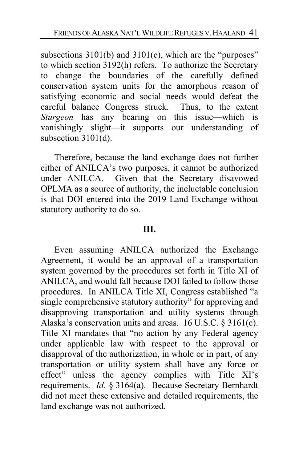subsections 3101(b) and 3101(c), which are the "purposes" to which section 3192(h) refers. To authorize the Secretary to change the boundaries of the carefully defined conservation system units for the amorphous reason of satisfying economic and social needs would defeat the careful balance Congress struck. Thus, to the extent *Sturgeon* has any bearing on this issue—which is vanishingly slight—it supports our understanding of subsection 3101(d).

Therefore, because the land exchange does not further either of ANILCA's two purposes, it cannot be authorized under ANILCA. Given that the Secretary disavowed OPLMA as a source of authority, the ineluctable conclusion is that DOI entered into the 2019 Land Exchange without statutory authority to do so.

## **III.**

Even assuming ANILCA authorized the Exchange Agreement, it would be an approval of a transportation system governed by the procedures set forth in Title XI of ANILCA, and would fall because DOI failed to follow those procedures. In ANILCA Title XI, Congress established "a single comprehensive statutory authority" for approving and disapproving transportation and utility systems through Alaska's conservation units and areas. 16 U.S.C. § 3161(c). Title XI mandates that "no action by any Federal agency under applicable law with respect to the approval or disapproval of the authorization, in whole or in part, of any transportation or utility system shall have any force or effect" unless the agency complies with Title XI's requirements. *Id.* § 3164(a). Because Secretary Bernhardt did not meet these extensive and detailed requirements, the land exchange was not authorized.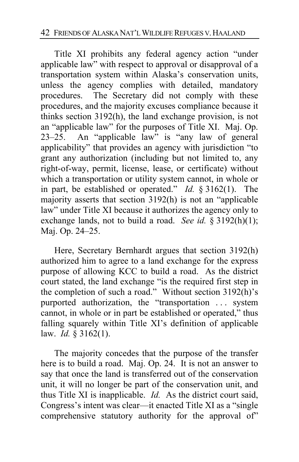Title XI prohibits any federal agency action "under applicable law" with respect to approval or disapproval of a transportation system within Alaska's conservation units, unless the agency complies with detailed, mandatory procedures. The Secretary did not comply with these procedures, and the majority excuses compliance because it thinks section 3192(h), the land exchange provision, is not an "applicable law" for the purposes of Title XI. Maj. Op. [23–](#page-22-0)[25.](#page-24-0) An "applicable law" is "any law of general applicability" that provides an agency with jurisdiction "to grant any authorization (including but not limited to, any right-of-way, permit, license, lease, or certificate) without which a transportation or utility system cannot, in whole or in part, be established or operated." *Id.* § 3162(1). The majority asserts that section 3192(h) is not an "applicable law" under Title XI because it authorizes the agency only to exchange lands, not to build a road. *See id.* § 3192(h)(1); Maj. Op. [24](#page-23-0)[–25.](#page-24-1)

Here, Secretary Bernhardt argues that section 3192(h) authorized him to agree to a land exchange for the express purpose of allowing KCC to build a road. As the district court stated, the land exchange "is the required first step in the completion of such a road." Without section 3192(h)'s purported authorization, the "transportation ... system cannot, in whole or in part be established or operated," thus falling squarely within Title XI's definition of applicable law. *Id.* § 3162(1).

The majority concedes that the purpose of the transfer here is to build a road. Maj. Op. [24.](#page-23-1) It is not an answer to say that once the land is transferred out of the conservation unit, it will no longer be part of the conservation unit, and thus Title XI is inapplicable. *Id.* As the district court said, Congress's intent was clear—it enacted Title XI as a "single comprehensive statutory authority for the approval of"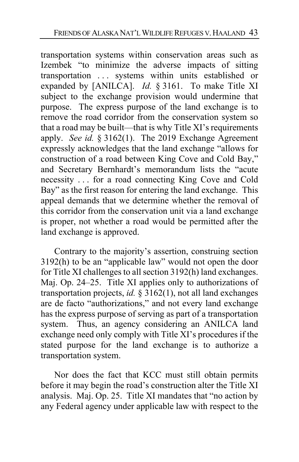transportation systems within conservation areas such as Izembek "to minimize the adverse impacts of sitting transportation . . . systems within units established or expanded by [ANILCA]. *Id.* § 3161. To make Title XI subject to the exchange provision would undermine that purpose. The express purpose of the land exchange is to remove the road corridor from the conservation system so that a road may be built—that is why Title XI's requirements apply. *See id.* § 3162(1). The 2019 Exchange Agreement expressly acknowledges that the land exchange "allows for construction of a road between King Cove and Cold Bay," and Secretary Bernhardt's memorandum lists the "acute necessity . . . for a road connecting King Cove and Cold Bay" as the first reason for entering the land exchange. This appeal demands that we determine whether the removal of this corridor from the conservation unit via a land exchange is proper, not whether a road would be permitted after the land exchange is approved.

Contrary to the majority's assertion, construing section 3192(h) to be an "applicable law" would not open the door for Title XI challenges to all section 3192(h) land exchanges. Maj. Op. [24–](#page-23-0)[25.](#page-24-1) Title XI applies only to authorizations of transportation projects, *id.* § 3162(1), not all land exchanges are de facto "authorizations," and not every land exchange has the express purpose of serving as part of a transportation system. Thus, an agency considering an ANILCA land exchange need only comply with Title XI's procedures if the stated purpose for the land exchange is to authorize a transportation system.

Nor does the fact that KCC must still obtain permits before it may begin the road's construction alter the Title XI analysis. Maj. Op. [25.](#page-24-2) Title XI mandates that "no action by any Federal agency under applicable law with respect to the